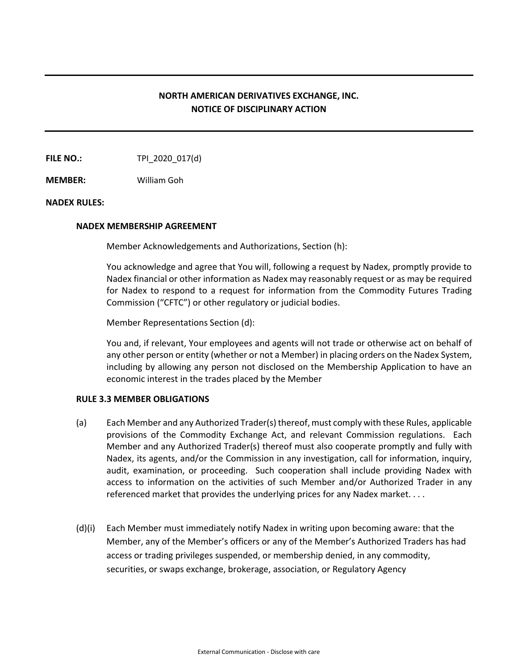# **NORTH AMERICAN DERIVATIVES EXCHANGE, INC. NOTICE OF DISCIPLINARY ACTION**

**FILE NO.:** TPI\_2020\_017(d)

**MEMBER:** William Goh

### **NADEX RULES:**

### **NADEX MEMBERSHIP AGREEMENT**

Member Acknowledgements and Authorizations, Section (h):

You acknowledge and agree that You will, following a request by Nadex, promptly provide to Nadex financial or other information as Nadex may reasonably request or as may be required for Nadex to respond to a request for information from the Commodity Futures Trading Commission ("CFTC") or other regulatory or judicial bodies.

Member Representations Section (d):

You and, if relevant, Your employees and agents will not trade or otherwise act on behalf of any other person or entity (whether or not a Member) in placing orders on the Nadex System, including by allowing any person not disclosed on the Membership Application to have an economic interest in the trades placed by the Member

# **RULE 3.3 MEMBER OBLIGATIONS**

- (a) Each Member and any Authorized Trader(s) thereof, must comply with these Rules, applicable provisions of the Commodity Exchange Act, and relevant Commission regulations. Each Member and any Authorized Trader(s) thereof must also cooperate promptly and fully with Nadex, its agents, and/or the Commission in any investigation, call for information, inquiry, audit, examination, or proceeding. Such cooperation shall include providing Nadex with access to information on the activities of such Member and/or Authorized Trader in any referenced market that provides the underlying prices for any Nadex market. . . .
- (d)(i) Each Member must immediately notify Nadex in writing upon becoming aware: that the Member, any of the Member's officers or any of the Member's Authorized Traders has had access or trading privileges suspended, or membership denied, in any commodity, securities, or swaps exchange, brokerage, association, or Regulatory Agency